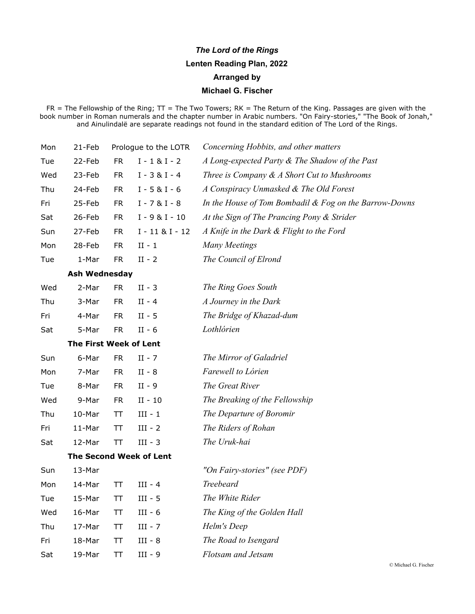## *The Lord of the Rings* **Lenten Reading Plan, 2022 Arranged by Michael G. Fischer**

FR = The Fellowship of the Ring;  ${\rm TT}$  = The Two Towers; RK = The Return of the King. Passages are given with the book number in Roman numerals and the chapter number in Arabic numbers. "On Fairy-stories," "The Book of Jonah," and Ainulindalë are separate readings not found in the standard edition of The Lord of the Rings.

| Mon | 21-Feb                  | Prologue to the LOTR |                    | Concerning Hobbits, and other matters                  |  |  |
|-----|-------------------------|----------------------|--------------------|--------------------------------------------------------|--|--|
| Tue | 22-Feb                  | <b>FR</b>            | $I - 1 & 1 - 2$    | A Long-expected Party & The Shadow of the Past         |  |  |
| Wed | 23-Feb                  | <b>FR</b>            | $I - 3 & I - 4$    | Three is Company $\&$ A Short Cut to Mushrooms         |  |  |
| Thu | 24-Feb                  | <b>FR</b>            | $I - 5 & I - 6$    | A Conspiracy Unmasked & The Old Forest                 |  |  |
| Fri | 25-Feb                  | <b>FR</b>            | $I - 7 & I - 8$    | In the House of Tom Bombadil & Fog on the Barrow-Downs |  |  |
| Sat | 26-Feb                  | <b>FR</b>            | $I - 9 & I - 10$   | At the Sign of The Prancing Pony & Strider             |  |  |
| Sun | 27-Feb                  | <b>FR</b>            | $I - 11 & 8I - 12$ | A Knife in the Dark & Flight to the Ford               |  |  |
| Mon | 28-Feb                  | <b>FR</b>            | $II - 1$           | <b>Many Meetings</b>                                   |  |  |
| Tue | 1-Mar                   | <b>FR</b>            | $II - 2$           | The Council of Elrond                                  |  |  |
|     | <b>Ash Wednesday</b>    |                      |                    |                                                        |  |  |
| Wed | 2-Mar                   | <b>FR</b>            | $II - 3$           | The Ring Goes South                                    |  |  |
| Thu | 3-Mar                   | <b>FR</b>            | $II - 4$           | A Journey in the Dark                                  |  |  |
| Fri | 4-Mar                   | <b>FR</b>            | $II - 5$           | The Bridge of Khazad-dum                               |  |  |
| Sat | 5-Mar                   | <b>FR</b>            | $II - 6$           | Lothlórien                                             |  |  |
|     | The First Week of Lent  |                      |                    |                                                        |  |  |
| Sun | 6-Mar                   | <b>FR</b>            | $II - 7$           | The Mirror of Galadriel                                |  |  |
| Mon | 7-Mar                   | <b>FR</b>            | $II - 8$           | Farewell to Lórien                                     |  |  |
| Tue | 8-Mar                   | <b>FR</b>            | $II - 9$           | The Great River                                        |  |  |
| Wed | 9-Mar                   | <b>FR</b>            | $II - 10$          | The Breaking of the Fellowship                         |  |  |
| Thu | 10-Mar                  | TΤ                   | $III - 1$          | The Departure of Boromir                               |  |  |
| Fri | 11-Mar                  | TT                   | $III - 2$          | The Riders of Rohan                                    |  |  |
| Sat | 12-Mar                  | TΤ                   | $III - 3$          | The Uruk-hai                                           |  |  |
|     | The Second Week of Lent |                      |                    |                                                        |  |  |
| Sun | 13-Mar                  |                      |                    | "On Fairy-stories" (see PDF)                           |  |  |
| Mon | 14-Mar                  | TТ                   | $III - 4$          | Treebeard                                              |  |  |
| Tue | 15-Mar                  | ТT                   | $III - 5$          | The White Rider                                        |  |  |
| Wed | 16-Mar                  | TΤ                   | $III - 6$          | The King of the Golden Hall                            |  |  |
| Thu | 17-Mar                  | TT                   | $III - 7$          | Helm's Deep                                            |  |  |
| Fri | 18-Mar                  | TΤ                   | $III - 8$          | The Road to Isengard                                   |  |  |
| Sat | 19-Mar                  | TT                   | III - 9            | Flotsam and Jetsam                                     |  |  |